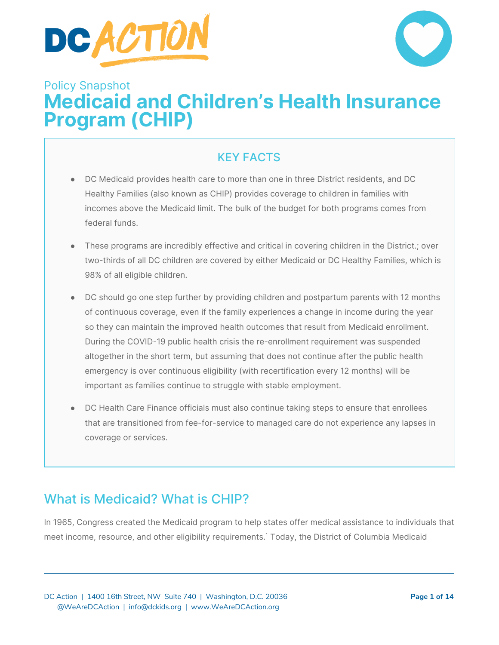



# Policy Snapshot **Medicaid and Children's Health Insurance Program (CHIP)**

#### KEY FACTS

- DC Medicaid provides health care to more than one in three District residents, and DC Healthy Families (also known as CHIP) provides coverage to children in families with incomes above the Medicaid limit. The bulk of the budget for both programs comes from federal funds.
- These programs are incredibly effective and critical in covering children in the District.; over two-thirds of all DC children are covered by either Medicaid or DC Healthy Families, which is 98% of all eligible children.
- DC should go one step further by providing children and postpartum parents with 12 months of continuous coverage, even if the family experiences a change in income during the year so they can maintain the improved health outcomes that result from Medicaid enrollment. During the COVID-19 public health crisis the re-enrollment requirement was suspended altogether in the short term, but assuming that does not continue after the public health emergency is over continuous eligibility (with recertification every 12 months) will be important as families continue to struggle with stable employment.
- DC Health Care Finance officials must also continue taking steps to ensure that enrollees that are transitioned from fee-for-service to managed care do not experience any lapses in coverage or services.

## What is Medicaid? What is CHIP?

In 1965, Congress created the Medicaid program to help states offer medical assistance to individuals that meet income, resource, and other eligibility requirements. <sup>1</sup> Today, the District of Columbia Medicaid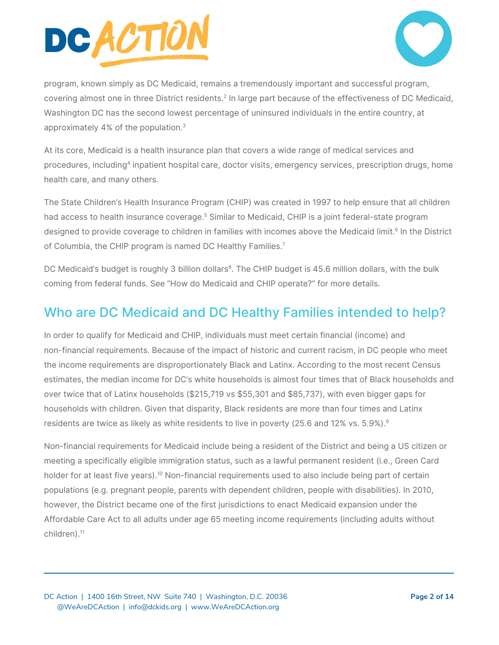



program, known simply as DC Medicaid, remains a tremendously important and successful program, covering almost one in three District residents.<sup>2</sup> In large part because of the effectiveness of DC Medicaid, Washington DC has the second lowest percentage of uninsured individuals in the entire country, at approximately 4% of the population. 3

At its core, Medicaid is a health insurance plan that covers a wide range of medical services and procedures, including<sup>4</sup> inpatient hospital care, doctor visits, emergency services, prescription drugs, home health care, and many others.

The State Children's Health Insurance Program (CHIP) was created in 1997 to help ensure that all children had access to health insurance coverage. <sup>5</sup> Similar to Medicaid, CHIP is a joint federal-state program designed to provide coverage to children in families with incomes above the Medicaid limit.<sup>6</sup> In the District of Columbia, the CHIP program is named DC Healthy Families.<sup>7</sup>

DC Medicaid's budget is roughly 3 billion dollars<sup>8</sup>. The CHIP budget is 45.6 million dollars, with the bulk coming from federal funds. See "How do Medicaid and CHIP operate?" for more details.

## Who are DC Medicaid and DC Healthy Families intended to help?

In order to qualify for Medicaid and CHIP, individuals must meet certain financial (income) and non-financial requirements. Because of the impact of historic and current racism, in DC people who meet the income requirements are disproportionately Black and Latinx. According to the most recent Census estimates, the median income for DC's white households is almost four times that of Black households and over twice that of Latinx households (\$215,719 vs \$55,301 and \$85,737), with even bigger gaps for households with children. Given that disparity, Black residents are more than four times and Latinx residents are twice as likely as white residents to live in poverty (25.6 and 12% vs. 5.9%). $^{\circ}$ 

Non-financial requirements for Medicaid include being a resident of the District and being a US citizen or meeting a specifically eligible immigration status, such as a lawful permanent resident (i.e., Green Card holder for at least five years).<sup>10</sup> Non-financial requirements used to also include being part of certain populations (e.g. pregnant people, parents with dependent children, people with disabilities). In 2010, however, the District became one of the first jurisdictions to enact Medicaid expansion under the Affordable Care Act to all adults under age 65 meeting income requirements (including adults without children). 11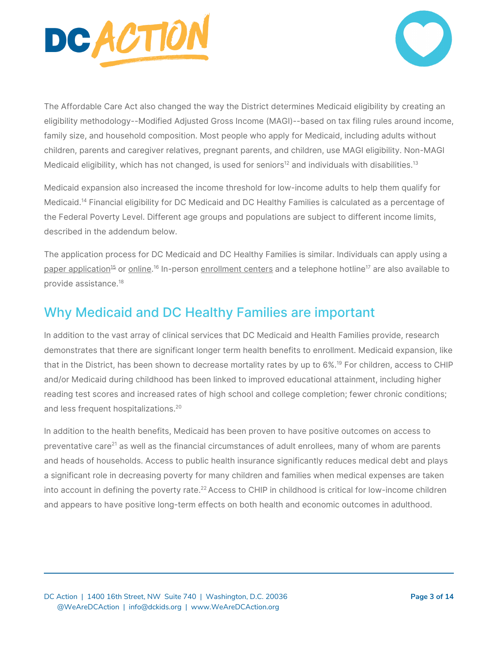



The Affordable Care Act also changed the way the District determines Medicaid eligibility by creating an eligibility methodology--Modified Adjusted Gross Income (MAGI)--based on tax filing rules around income, family size, and household composition. Most people who apply for Medicaid, including adults without children, parents and caregiver relatives, pregnant parents, and children, use MAGI eligibility. Non-MAGI Medicaid eligibility, which has not changed, is used for seniors $^{\rm 12}$  and individuals with disabilities. $^{\rm 13}$ 

Medicaid expansion also increased the income threshold for low-income adults to help them qualify for Medicaid. <sup>14</sup> Financial eligibility for DC Medicaid and DC Healthy Families is calculated as a percentage of the Federal Poverty Level. Different age groups and populations are subject to different income limits, described in the addendum below.

The application process for DC Medicaid and DC Healthy Families is similar. Individuals can apply using a paper [application](https://dchealthlink.com/sites/default/files/v2/forms/DC_Health_Link_Application_for_Help_Paying_for_Health_Coverage_Short_201509.pdf)<sup>[15](https://dchealthlink.com/sites/default/files/v2/forms/DC_Health_Link_Application_for_Help_Paying_for_Health_Coverage_Short_201509.pdf)</sup> or <u>online</u>.<sup>16</sup> In-person <u>[enrollment](https://dchealthlink.com/enrollmentcenters) centers</u> and a telephone hotline<sup>17</sup> are also available to provide assistance. 18

## Why Medicaid and DC Healthy Families are important

In addition to the vast array of clinical services that DC Medicaid and Health Families provide, research demonstrates that there are significant longer term health benefits to enrollment. Medicaid expansion, like that in the District, has been shown to decrease mortality rates by up to 6%. <sup>19</sup> For children, access to CHIP and/or Medicaid during childhood has been linked to improved educational attainment, including higher reading test scores and increased rates of high school and college completion; fewer chronic conditions; and less frequent hospitalizations. 20

In addition to the health benefits, Medicaid has been proven to have positive outcomes on access to preventative care<sup>21</sup> as well as the financial circumstances of adult enrollees, many of whom are parents and heads of households. Access to public health insurance significantly reduces medical debt and plays a significant role in decreasing poverty for many children and families when medical expenses are taken into account in defining the poverty rate.<sup>22</sup> Access to CHIP in childhood is critical for low-income children and appears to have positive long-term effects on both health and economic outcomes in adulthood.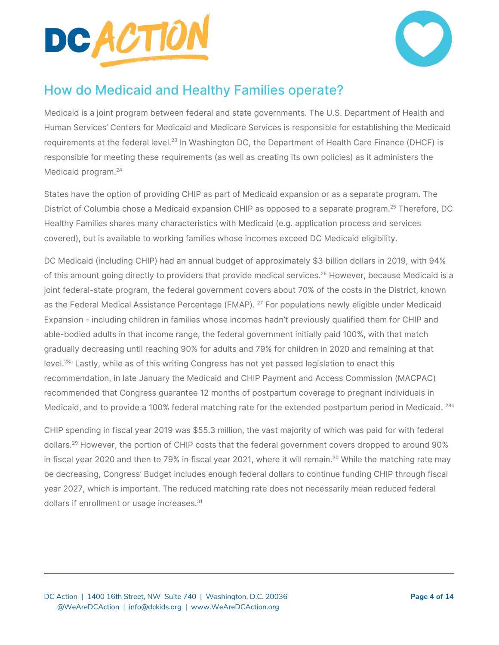



## How do Medicaid and Healthy Families operate?

Medicaid is a joint program between federal and state governments. The U.S. Department of Health and Human Services' Centers for Medicaid and Medicare Services is responsible for establishing the Medicaid requirements at the federal level. $^{23}$  In Washington DC, the Department of Health Care Finance (DHCF) is responsible for meeting these requirements (as well as creating its own policies) as it administers the Medicaid program. 24

States have the option of providing CHIP as part of Medicaid expansion or as a separate program. The District of Columbia chose a Medicaid expansion CHIP as opposed to a separate program. <sup>25</sup> Therefore, DC Healthy Families shares many characteristics with Medicaid (e.g. application process and services covered), but is available to working families whose incomes exceed DC Medicaid eligibility.

DC Medicaid (including CHIP) had an annual budget of approximately \$3 billion dollars in 2019, with 94% of this amount going directly to providers that provide medical services.<sup>26</sup> However, because Medicaid is a joint federal-state program, the federal government covers about 70% of the costs in the District, known as the Federal Medical Assistance Percentage (FMAP). <sup>27</sup> For populations newly eligible under Medicaid Expansion - including children in families whose incomes hadn't previously qualified them for CHIP and able-bodied adults in that income range, the federal government initially paid 100%, with that match gradually decreasing until reaching 90% for adults and 79% for children in 2020 and remaining at that level.<sup>28a</sup> Lastly, while as of this writing Congress has not yet passed legislation to enact this recommendation, in late January the Medicaid and CHIP Payment and Access Commission (MACPAC) recommended that Congress guarantee 12 months of postpartum coverage to pregnant individuals in Medicaid, and to provide a 100% federal matching rate for the extended postpartum period in Medicaid. <sup>28b</sup>

CHIP spending in fiscal year 2019 was \$55.3 million, the vast majority of which was paid for with federal dollars. <sup>29</sup> However, the portion of CHIP costs that the federal government covers dropped to around 90% in fiscal year 2020 and then to 79% in fiscal year 2021, where it will remain.<sup>30</sup> While the matching rate may be decreasing, Congress' Budget includes enough federal dollars to continue funding CHIP through fiscal year 2027, which is important. The reduced matching rate does not necessarily mean reduced federal dollars if enrollment or usage increases. 31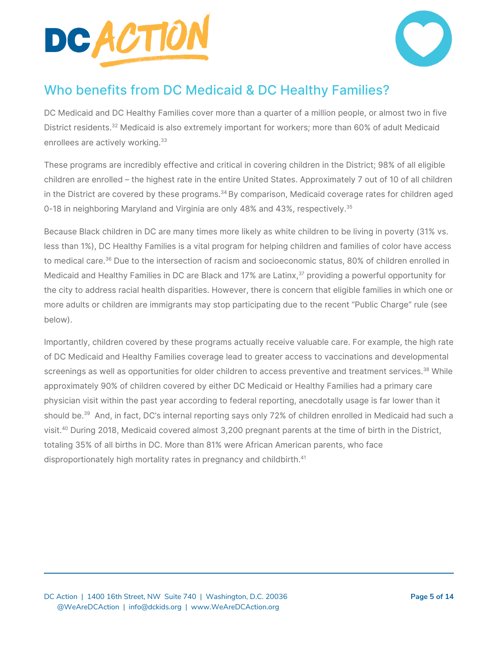



## Who benefits from DC Medicaid & DC Healthy Families?

DC Medicaid and DC Healthy Families cover more than a quarter of a million people, or almost two in five District residents. <sup>32</sup> Medicaid is also extremely important for workers; more than 60% of adult Medicaid enrollees are actively working.<sup>33</sup>

These programs are incredibly effective and critical in covering children in the District; 98% of all eligible children are enrolled – the highest rate in the entire United States. Approximately 7 out of 10 of all children in the District are covered by these programs.<sup>34</sup> By comparison, Medicaid coverage rates for children aged 0-18 in neighboring Maryland and Virginia are only 48% and 43%, respectively.<sup>35</sup>

Because Black children in DC are many times more likely as white children to be living in poverty (31% vs. less than 1%), DC Healthy Families is a vital program for helping children and families of color have access to medical care. <sup>36</sup> Due to the intersection of racism and socioeconomic status, 80% of children enrolled in Medicaid and Healthy Families in DC are Black and 17% are Latinx,<sup>37</sup> providing a powerful opportunity for the city to address racial health disparities. However, there is concern that eligible families in which one or more adults or children are immigrants may stop participating due to the recent "Public Charge" rule (see below).

Importantly, children covered by these programs actually receive valuable care. For example, the high rate of DC Medicaid and Healthy Families coverage lead to greater access to vaccinations and developmental screenings as well as opportunities for older children to access preventive and treatment services.<sup>38</sup> While approximately 90% of children covered by either DC Medicaid or Healthy Families had a primary care physician visit within the past year according to federal reporting, anecdotally usage is far lower than it should be. <sup>39</sup> And, in fact, DC's internal reporting says only 72% of children enrolled in Medicaid had such a visit. <sup>40</sup> During 2018, Medicaid covered almost 3,200 pregnant parents at the time of birth in the District, totaling 35% of all births in DC. More than 81% were African American parents, who face disproportionately high mortality rates in pregnancy and childbirth. 41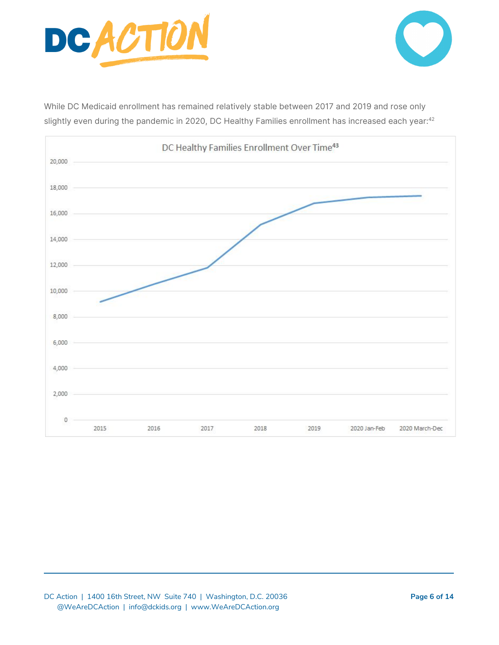



While DC Medicaid enrollment has remained relatively stable between 2017 and 2019 and rose only slightly even during the pandemic in 2020, DC Healthy Families enrollment has increased each year: $^{42}$ 

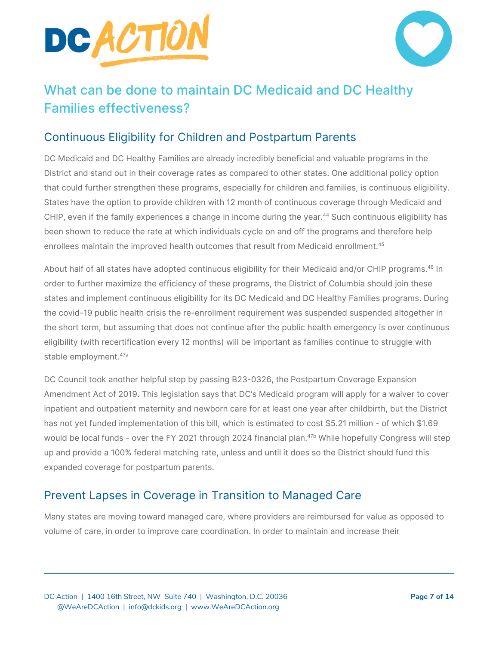



## What can be done to maintain DC Medicaid and DC Healthy Families effectiveness?

#### Continuous Eligibility for Children and Postpartum Parents

DC Medicaid and DC Healthy Families are already incredibly beneficial and valuable programs in the District and stand out in their coverage rates as compared to other states. One additional policy option that could further strengthen these programs, especially for children and families, is continuous eligibility. States have the option to provide children with 12 month of continuous coverage through Medicaid and CHIP, even if the family experiences a change in income during the year. <sup>44</sup> Such continuous eligibility has been shown to reduce the rate at which individuals cycle on and off the programs and therefore help enrollees maintain the improved health outcomes that result from Medicaid enrollment.<sup>45</sup>

About half of all states have adopted continuous eligibility for their Medicaid and/or CHIP programs.<sup>46</sup> In order to further maximize the efficiency of these programs, the District of Columbia should join these states and implement continuous eligibility for its DC Medicaid and DC Healthy Families programs. During the covid-19 public health crisis the re-enrollment requirement was suspended suspended altogether in the short term, but assuming that does not continue after the public health emergency is over continuous eligibility (with recertification every 12 months) will be important as families continue to struggle with stable employment.<sup>47a</sup>

DC Council took another helpful step by passing B23-0326, the Postpartum Coverage Expansion Amendment Act of 2019. This legislation says that DC's Medicaid program will apply for a waiver to cover inpatient and outpatient maternity and newborn care for at least one year after childbirth, but the District has not yet funded implementation of this bill, which is estimated to cost \$5.21 million - of which \$1.69 would be local funds - over the FY 2021 through 2024 financial plan. 47b While hopefully Congress will step up and provide a 100% federal matching rate, unless and until it does so the District should fund this expanded coverage for postpartum parents.

#### Prevent Lapses in Coverage in Transition to Managed Care

Many states are moving toward managed care, where providers are reimbursed for value as opposed to volume of care, in order to improve care coordination. In order to maintain and increase their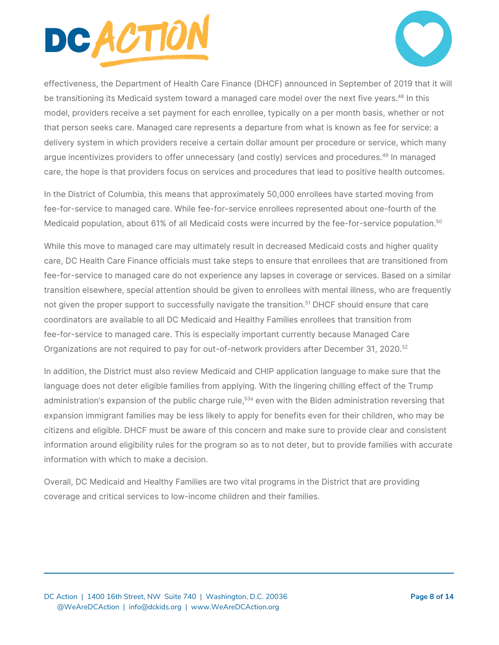



effectiveness, the Department of Health Care Finance (DHCF) announced in September of 2019 that it will be transitioning its Medicaid system toward a managed care model over the next five years.<sup>48</sup> In this model, providers receive a set payment for each enrollee, typically on a per month basis, whether or not that person seeks care. Managed care represents a departure from what is known as fee for service: a delivery system in which providers receive a certain dollar amount per procedure or service, which many argue incentivizes providers to offer unnecessary (and costly) services and procedures.<sup>49</sup> In managed care, the hope is that providers focus on services and procedures that lead to positive health outcomes.

In the District of Columbia, this means that approximately 50,000 enrollees have started moving from fee-for-service to managed care. While fee-for-service enrollees represented about one-fourth of the Medicaid population, about 61% of all Medicaid costs were incurred by the fee-for-service population.<sup>50</sup>

While this move to managed care may ultimately result in decreased Medicaid costs and higher quality care, DC Health Care Finance officials must take steps to ensure that enrollees that are transitioned from fee-for-service to managed care do not experience any lapses in coverage or services. Based on a similar transition elsewhere, special attention should be given to enrollees with mental illness, who are frequently not given the proper support to successfully navigate the transition. <sup>51</sup> DHCF should ensure that care coordinators are available to all DC Medicaid and Healthy Families enrollees that transition from fee-for-service to managed care. This is especially important currently because Managed Care Organizations are not required to pay for out-of-network providers after December 31, 2020.<sup>52</sup>

In addition, the District must also review Medicaid and CHIP application language to make sure that the language does not deter eligible families from applying. With the lingering chilling effect of the Trump administration's expansion of the public charge rule,<sup>53a</sup> even with the Biden administration reversing that expansion immigrant families may be less likely to apply for benefits even for their children, who may be citizens and eligible. DHCF must be aware of this concern and make sure to provide clear and consistent information around eligibility rules for the program so as to not deter, but to provide families with accurate information with which to make a decision.

Overall, DC Medicaid and Healthy Families are two vital programs in the District that are providing coverage and critical services to low-income children and their families.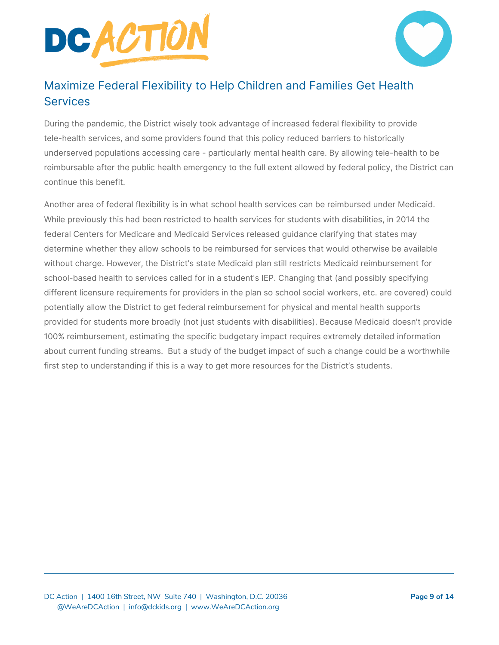



#### Maximize Federal Flexibility to Help Children and Families Get Health **Services**

During the pandemic, the District wisely took advantage of increased federal flexibility to provide tele-health services, and some providers found that this policy reduced barriers to historically underserved populations accessing care - particularly mental health care. By allowing tele-health to be reimbursable after the public health emergency to the full extent allowed by federal policy, the District can continue this benefit.

Another area of federal flexibility is in what school health services can be reimbursed under Medicaid. While previously this had been restricted to health services for students with disabilities, in 2014 the federal Centers for Medicare and Medicaid Services released guidance clarifying that states may determine whether they allow schools to be reimbursed for services that would otherwise be available without charge. However, the District's state Medicaid plan still restricts Medicaid reimbursement for school-based health to services called for in a student's IEP. Changing that (and possibly specifying different licensure requirements for providers in the plan so school social workers, etc. are covered) could potentially allow the District to get federal reimbursement for physical and mental health supports provided for students more broadly (not just students with disabilities). Because Medicaid doesn't provide 100% reimbursement, estimating the specific budgetary impact requires extremely detailed information about current funding streams. But a study of the budget impact of such a change could be a worthwhile first step to understanding if this is a way to get more resources for the District's students.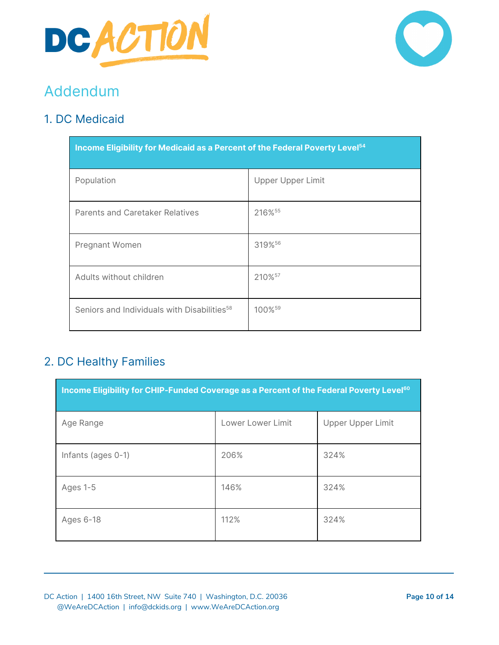



# Addendum

#### 1. DC Medicaid

| Income Eligibility for Medicaid as a Percent of the Federal Poverty Level <sup>54</sup> |                          |  |
|-----------------------------------------------------------------------------------------|--------------------------|--|
| Population                                                                              | <b>Upper Upper Limit</b> |  |
| <b>Parents and Caretaker Relatives</b>                                                  | 216% <sup>55</sup>       |  |
| Pregnant Women                                                                          | 319%56                   |  |
| Adults without children                                                                 | 210% <sup>57</sup>       |  |
| Seniors and Individuals with Disabilities <sup>58</sup>                                 | 100% <sup>59</sup>       |  |

#### 2. DC Healthy Families

| Income Eligibility for CHIP-Funded Coverage as a Percent of the Federal Poverty Level <sup>60</sup> |                   |                   |  |
|-----------------------------------------------------------------------------------------------------|-------------------|-------------------|--|
| Age Range                                                                                           | Lower Lower Limit | Upper Upper Limit |  |
| Infants (ages 0-1)                                                                                  | 206%              | 324%              |  |
| Ages 1-5                                                                                            | 146%              | 324%              |  |
| Ages 6-18                                                                                           | 112%              | 324%              |  |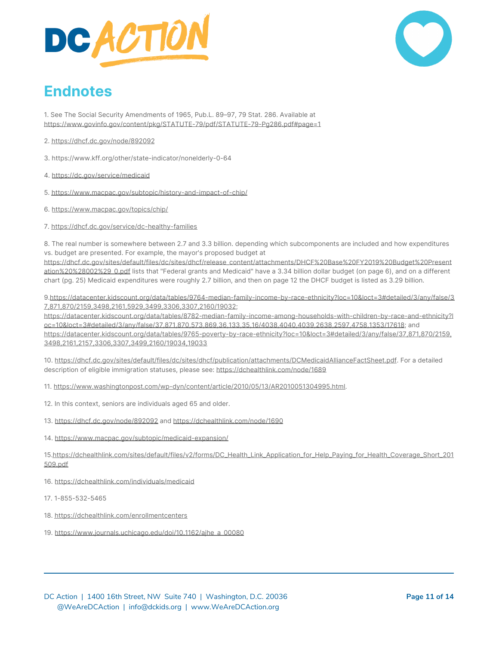



# **Endnotes**

1. See The Social Security Amendments of 1965, Pub.L. 89–97, 79 Stat. 286. Available at <https://www.govinfo.gov/content/pkg/STATUTE-79/pdf/STATUTE-79-Pg286.pdf#page=1>

- 2. <https://dhcf.dc.gov/node/892092>
- 3. https://www.kff.org/other/state-indicator/nonelderly-0-64
- 4. <https://dc.gov/service/medicaid>
- 5. <https://www.macpac.gov/subtopic/history-and-impact-of-chip/>
- 6. <https://www.macpac.gov/topics/chip/>
- 7. <https://dhcf.dc.gov/service/dc-healthy-families>

8. The real number is somewhere between 2.7 and 3.3 billion. depending which subcomponents are included and how expenditures vs. budget are presented. For example, the mayor's proposed budget at

[https://dhcf.dc.gov/sites/default/files/dc/sites/dhcf/release\\_content/attachments/DHCF%20Base%20FY2019%20Budget%20Present](https://dhcf.dc.gov/sites/default/files/dc/sites/dhcf/release_content/attachments/DHCF%20Base%20FY2019%20Budget%20Presentation%20%28002%29_0.pdf) [ation%20%28002%29\\_0.pdf](https://dhcf.dc.gov/sites/default/files/dc/sites/dhcf/release_content/attachments/DHCF%20Base%20FY2019%20Budget%20Presentation%20%28002%29_0.pdf) lists that "Federal grants and Medicaid" have a 3.34 billion dollar budget (on page 6), and on a different chart (pg. 25) Medicaid expenditures were roughly 2.7 billion, and then on page 12 the DHCF budget is listed as 3.29 billion.

9.[https://datacenter.kidscount.org/data/tables/9764-median-family-income-by-race-ethnicity?loc=10&loct=3#detailed/3/any/false/3](https://datacenter.kidscount.org/data/tables/9764-median-family-income-by-race-ethnicity?loc=10&loct=3#detailed/3/any/false/37,871,870/2159,3498,2161,5929,3499,3306,3307,2160/19032) [7,871,870/2159,3498,2161,5929,3499,3306,3307,2160/19032;](https://datacenter.kidscount.org/data/tables/9764-median-family-income-by-race-ethnicity?loc=10&loct=3#detailed/3/any/false/37,871,870/2159,3498,2161,5929,3499,3306,3307,2160/19032)

[https://datacenter.kidscount.org/data/tables/8782-median-family-income-among-households-with-children-by-race-and-ethnicity?l](https://datacenter.kidscount.org/data/tables/8782-median-family-income-among-households-with-children-by-race-and-ethnicity?loc=10&loct=3#detailed/3/any/false/37,871,870,573,869,36,133,35,16/4038,4040,4039,2638,2597,4758,1353/17618) [oc=10&loct=3#detailed/3/any/false/37,871,870,573,869,36,133,35,16/4038,4040,4039,2638,2597,4758,1353/17618](https://datacenter.kidscount.org/data/tables/8782-median-family-income-among-households-with-children-by-race-and-ethnicity?loc=10&loct=3#detailed/3/any/false/37,871,870,573,869,36,133,35,16/4038,4040,4039,2638,2597,4758,1353/17618); and [https://datacenter.kidscount.org/data/tables/9765-poverty-by-race-ethnicity?loc=10&loct=3#detailed/3/any/false/37,871,870/2159,](https://datacenter.kidscount.org/data/tables/9765-poverty-by-race-ethnicity?loc=10&loct=3#detailed/3/any/false/37,871,870/2159,3498,2161,2157,3306,3307,3499,2160/19034,19033) [3498,2161,2157,3306,3307,3499,2160/19034,19033](https://datacenter.kidscount.org/data/tables/9765-poverty-by-race-ethnicity?loc=10&loct=3#detailed/3/any/false/37,871,870/2159,3498,2161,2157,3306,3307,3499,2160/19034,19033)

10. <https://dhcf.dc.gov/sites/default/files/dc/sites/dhcf/publication/attachments/DCMedicaidAllianceFactSheet.pdf>. For a detailed description of eligible immigration statuses, please see: <https://dchealthlink.com/node/1689>

11. [https://www.washingtonpost.com/wp-dyn/content/article/2010/05/13/AR2010051304995.html.](https://www.washingtonpost.com/wp-dyn/content/article/2010/05/13/AR2010051304995.html)

- 12. In this context, seniors are individuals aged 65 and older.
- 13. <https://dhcf.dc.gov/node/892092> and <https://dchealthlink.com/node/1690>
- 14. <https://www.macpac.gov/subtopic/medicaid-expansion/>

15[.https://dchealthlink.com/sites/default/files/v2/forms/DC\\_Health\\_Link\\_Application\\_for\\_Help\\_Paying\\_for\\_Health\\_Coverage\\_Short\\_201](https://dchealthlink.com/sites/default/files/v2/forms/DC_Health_Link_Application_for_Help_Paying_for_Health_Coverage_Short_201509.pdf) [509.pdf](https://dchealthlink.com/sites/default/files/v2/forms/DC_Health_Link_Application_for_Help_Paying_for_Health_Coverage_Short_201509.pdf)

- 16. <https://dchealthlink.com/individuals/medicaid>
- 17. 1-855-532-5465
- 18. <https://dchealthlink.com/enrollmentcenters>
- 19. [https://www.journals.uchicago.edu/doi/10.1162/ajhe\\_a\\_00080](https://www.journals.uchicago.edu/doi/10.1162/ajhe_a_00080)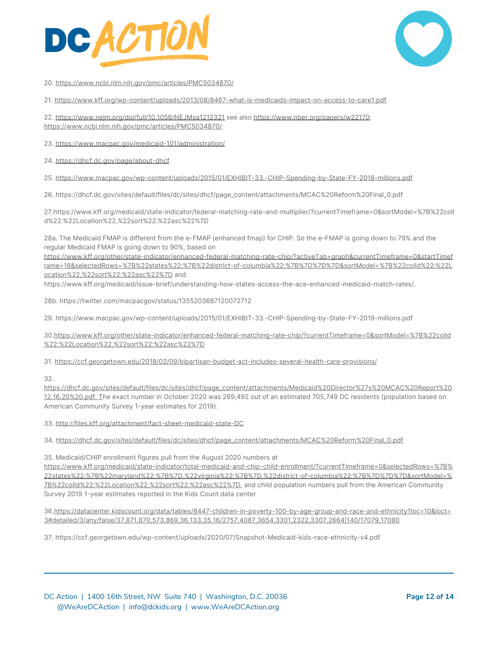



20. <https://www.ncbi.nlm.nih.gov/pmc/articles/PMC5034870/>

21. <https://www.kff.org/wp-content/uploads/2013/08/8467-what-is-medicaids-impact-on-access-to-care1.pdf>

22. <https://www.nejm.org/doi/full/10.1056/NEJMsa1212321> see also [https://www.nber.org/papers/w22170;](https://www.nber.org/papers/w22170) <https://www.ncbi.nlm.nih.gov/pmc/articles/PMC5034870/>

23. <https://www.macpac.gov/medicaid-101/administration/>

24. <https://dhcf.dc.gov/page/about-dhcf>

25. <https://www.macpac.gov/wp-content/uploads/2015/01/EXHIBIT-33.-CHIP-Spending-by-State-FY-2018-millions.pdf>

26. https://dhcf.dc.gov/sites/default/files/dc/sites/dhcf/page\_content/attachments/MCAC%20Reform%20Final\_0.pdf

27.https://www.kff.org/medicaid/state-indicator/federal-matching-rate-and-multiplier/?currentTimeframe=0&sortModel=%7B%22colI d%22:%22Location%22,%22sort%22:%22asc%22%7D

28a. The Medicaid FMAP is different from the e-FMAP (enhanced fmap) for CHIP. So the e-FMAP is going down to 79% and the regular Medicaid FMAP is going down to 90%, based on

[https://www.kff.org/other/state-indicator/enhanced-federal-matching-rate-chip/?activeTab=graph&currentTimeframe=0&startTimef](https://www.kff.org/other/state-indicator/enhanced-federal-matching-rate-chip/?activeTab=graph¤tTimeframe=0&startTimeframe=18&selectedRows=%7B%22states%22:%7B%22district-of-columbia%22:%7B%7D%7D%7D&sortModel=%7B%22colId%22:%22Location%22,%22sort%22:%22asc%22%7D) [rame=18&selectedRows=%7B%22states%22:%7B%22district-of-columbia%22:%7B%7D%7D%7D&sortModel=%7B%22colId%22:%22L](https://www.kff.org/other/state-indicator/enhanced-federal-matching-rate-chip/?activeTab=graph¤tTimeframe=0&startTimeframe=18&selectedRows=%7B%22states%22:%7B%22district-of-columbia%22:%7B%7D%7D%7D&sortModel=%7B%22colId%22:%22Location%22,%22sort%22:%22asc%22%7D) [ocation%22,%22sort%22:%22asc%22%7D](https://www.kff.org/other/state-indicator/enhanced-federal-matching-rate-chip/?activeTab=graph¤tTimeframe=0&startTimeframe=18&selectedRows=%7B%22states%22:%7B%22district-of-columbia%22:%7B%7D%7D%7D&sortModel=%7B%22colId%22:%22Location%22,%22sort%22:%22asc%22%7D) and

https://www.kff.org/medicaid/issue-brief/understanding-how-states-access-the-aca-enhanced-medicaid-match-rates/.

28b. https://twitter.com/macpacgov/status/1355203687120072712

29. https://www.macpac.gov/wp-content/uploads/2015/01/EXHIBIT-33.-CHIP-Spending-by-State-FY-2019-millions.pdf

30[.https://www.kff.org/other/state-indicator/enhanced-federal-matching-rate-chip/?currentTimeframe=0&sortModel=%7B%22colId](https://www.kff.org/other/state-indicator/enhanced-federal-matching-rate-chip/?currentTimeframe=0&sortModel=%7B%22colId%22:%22Location%22,%22sort%22:%22asc%22%7D) [%22:%22Location%22,%22sort%22:%22asc%22%7D](https://www.kff.org/other/state-indicator/enhanced-federal-matching-rate-chip/?currentTimeframe=0&sortModel=%7B%22colId%22:%22Location%22,%22sort%22:%22asc%22%7D)

31. <https://ccf.georgetown.edu/2018/02/09/bipartisan-budget-act-includes-several-health-care-provisions/>

32.

[https://dhcf.dc.gov/sites/default/files/dc/sites/dhcf/page\\_content/attachments/Medicaid%20Director%27s%20MCAC%20Report%20](https://dhcf.dc.gov/sites/default/files/dc/sites/dhcf/page_content/attachments/Medicaid%20Director%27s%20MCAC%20Report%2012.16.20%20.pdf) [12.16.20%20.pdf.](https://dhcf.dc.gov/sites/default/files/dc/sites/dhcf/page_content/attachments/Medicaid%20Director%27s%20MCAC%20Report%2012.16.20%20.pdf) The exact number in October 2020 was 269,492 out of an estimated 705,749 DC residents (population based on American Community Survey 1-year estimates for 2019).

33. <http://files.kff.org/attachment/fact-sheet-medicaid-state-DC>

34. [https://dhcf.dc.gov/sites/default/files/dc/sites/dhcf/page\\_content/attachments/MCAC%20Reform%20Final\\_0.pdf](https://dhcf.dc.gov/sites/default/files/dc/sites/dhcf/page_content/attachments/MCAC%20Reform%20Final_0.pdf)

35. Medicaid/CHIP enrollment figures pull from the August 2020 numbers at

[https://www.kff.org/medicaid/state-indicator/total-medicaid-and-chip-child-enrollment/?currentTimeframe=0&selectedRows=%7B%](https://www.kff.org/medicaid/state-indicator/total-medicaid-and-chip-child-enrollment/?currentTimeframe=0&selectedRows=%7B%22states%22:%7B%22maryland%22:%7B%7D,%22virginia%22:%7B%7D,%22district-of-columbia%22:%7B%7D%7D%7D&sortModel=%7B%22colId%22:%22Location%22,%22sort%22:%22asc%22%7D) [22states%22:%7B%22maryland%22:%7B%7D,%22virginia%22:%7B%7D,%22district-of-columbia%22:%7B%7D%7D%7D&sortModel=%](https://www.kff.org/medicaid/state-indicator/total-medicaid-and-chip-child-enrollment/?currentTimeframe=0&selectedRows=%7B%22states%22:%7B%22maryland%22:%7B%7D,%22virginia%22:%7B%7D,%22district-of-columbia%22:%7B%7D%7D%7D&sortModel=%7B%22colId%22:%22Location%22,%22sort%22:%22asc%22%7D) [7B%22colId%22:%22Location%22,%22sort%22:%22asc%22%7D,](https://www.kff.org/medicaid/state-indicator/total-medicaid-and-chip-child-enrollment/?currentTimeframe=0&selectedRows=%7B%22states%22:%7B%22maryland%22:%7B%7D,%22virginia%22:%7B%7D,%22district-of-columbia%22:%7B%7D%7D%7D&sortModel=%7B%22colId%22:%22Location%22,%22sort%22:%22asc%22%7D) and child population numbers pull from the American Community Survey 2019 1-year estimates reported in the Kids Count data center

36[.https://datacenter.kidscount.org/data/tables/8447-children-in-poverty-100-by-age-group-and-race-and-ethnicity?loc=10&loct=](https://datacenter.kidscount.org/data/tables/8447-children-in-poverty-100-by-age-group-and-race-and-ethnicity?loc=10&loct=3#detailed/3/any/false/37,871,870,573,869,36,133,35,16/2757,4087,3654,3301,2322,3307,2664%7C140/17079,17080) [3#detailed/3/any/false/37,871,870,573,869,36,133,35,16/2757,4087,3654,3301,2322,3307,2664|140/17079,17080](https://datacenter.kidscount.org/data/tables/8447-children-in-poverty-100-by-age-group-and-race-and-ethnicity?loc=10&loct=3#detailed/3/any/false/37,871,870,573,869,36,133,35,16/2757,4087,3654,3301,2322,3307,2664%7C140/17079,17080)

37. https://ccf.georgetown.edu/wp-content/uploads/2020/07/Snapshot-Medicaid-kids-race-ethnicity-v4.pdf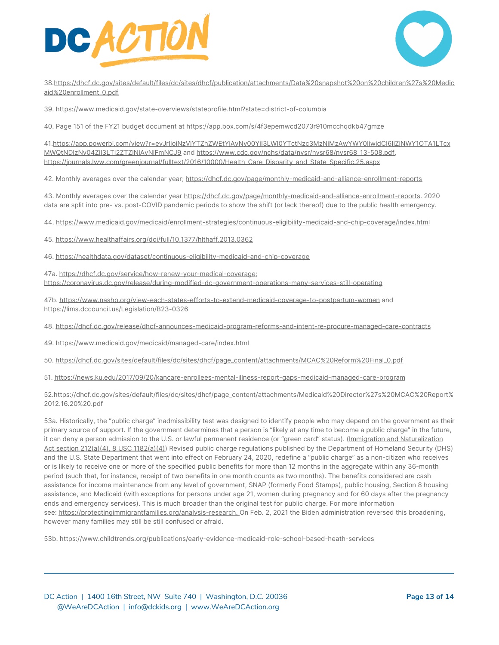



38[.https://dhcf.dc.gov/sites/default/files/dc/sites/dhcf/publication/attachments/Data%20snapshot%20on%20children%27s%20Medic](https://dhcf.dc.gov/sites/default/files/dc/sites/dhcf/publication/attachments/Data%20snapshot%20on%20children%27s%20Medicaid%20enrollment_0.pdf) [aid%20enrollment\\_0.pdf](https://dhcf.dc.gov/sites/default/files/dc/sites/dhcf/publication/attachments/Data%20snapshot%20on%20children%27s%20Medicaid%20enrollment_0.pdf)

39. <https://www.medicaid.gov/state-overviews/stateprofile.html?state=district-of-columbia>

40. Page 151 of the FY21 budget document at https://app.box.com/s/4f3epemwcd2073r910mcchqdkb47gmze

41[.https://app.powerbi.com/view?r=eyJrIjoiNzVjYTZhZWEtYjAyNy00YjI3LWI0YTctNzc3MzNiMzAwYWY0IiwidCI6IjZjNWY1OTA1LTcx](https://app.powerbi.com/view?r=eyJrIjoiNzVjYTZhZWEtYjAyNy00YjI3LWI0YTctNzc3MzNiMzAwYWY0IiwidCI6IjZjNWY1OTA1LTcxMWQtNDIzNy04ZjI3LTI2ZTZlNjAyNjFmNCJ9) [MWQtNDIzNy04ZjI3LTI2ZTZlNjAyNjFmNCJ9](https://app.powerbi.com/view?r=eyJrIjoiNzVjYTZhZWEtYjAyNy00YjI3LWI0YTctNzc3MzNiMzAwYWY0IiwidCI6IjZjNWY1OTA1LTcxMWQtNDIzNy04ZjI3LTI2ZTZlNjAyNjFmNCJ9) and [https://www.cdc.gov/nchs/data/nvsr/nvsr68/nvsr68\\_13-508.pdf](https://www.cdc.gov/nchs/data/nvsr/nvsr68/nvsr68_13-508.pdf), [https://journals.lww.com/greenjournal/fulltext/2016/10000/Health\\_Care\\_Disparity\\_and\\_State\\_Specific.25.aspx](https://journals.lww.com/greenjournal/fulltext/2016/10000/Health_Care_Disparity_and_State_Specific.25.aspx)

42. Monthly averages over the calendar year; <https://dhcf.dc.gov/page/monthly-medicaid-and-alliance-enrollment-reports>

43. Monthly averages over the calendar year [https://dhcf.dc.gov/page/monthly-medicaid-and-alliance-enrollment-reports.](https://dhcf.dc.gov/page/monthly-medicaid-and-alliance-enrollment-reports) 2020 data are split into pre- vs. post-COVID pandemic periods to show the shift (or lack thereof) due to the public health emergency.

44. <https://www.medicaid.gov/medicaid/enrollment-strategies/continuous-eligibility-medicaid-and-chip-coverage/index.html>

45. <https://www.healthaffairs.org/doi/full/10.1377/hlthaff.2013.0362>

46. <https://healthdata.gov/dataset/continuous-eligibility-medicaid-and-chip-coverage>

47a. [https://dhcf.dc.gov/service/how-renew-your-medical-coverage;](https://dhcf.dc.gov/service/how-renew-your-medical-coverage) <https://coronavirus.dc.gov/release/during-modified-dc-government-operations-many-services-still-operating>

47b. <https://www.nashp.org/view-each-states-efforts-to-extend-medicaid-coverage-to-postpartum-women> and https://lims.dccouncil.us/Legislation/B23-0326

- 48. <https://dhcf.dc.gov/release/dhcf-announces-medicaid-program-reforms-and-intent-re-procure-managed-care-contracts>
- 49. <https://www.medicaid.gov/medicaid/managed-care/index.html>
- 50. [https://dhcf.dc.gov/sites/default/files/dc/sites/dhcf/page\\_content/attachments/MCAC%20Reform%20Final\\_0.pdf](https://dhcf.dc.gov/sites/default/files/dc/sites/dhcf/page_content/attachments/MCAC%20Reform%20Final_0.pdf)
- 51. <https://news.ku.edu/2017/09/20/kancare-enrollees-mental-illness-report-gaps-medicaid-managed-care-program>

52.https://dhcf.dc.gov/sites/default/files/dc/sites/dhcf/page\_content/attachments/Medicaid%20Director%27s%20MCAC%20Report% 2012.16.20%20.pdf

53a. Historically, the "public charge" inadmissibility test was designed to identify people who may depend on the government as their primary source of support. If the government determines that a person is "likely at any time to become a public charge" in the future, it can deny a person admission to the U.S. or lawful permanent residence (or "green card" status). (Immigration and [Naturalization](https://uscode.house.gov/view.xhtml?req=granuleid%3AUSC-prelim-title8-section1182&num=0&edition=prelim) Act section 212(a)(4), 8 USC [1182\(a\)\(4\)](https://uscode.house.gov/view.xhtml?req=granuleid%3AUSC-prelim-title8-section1182&num=0&edition=prelim)) Revised public charge regulations published by the Department of Homeland Security (DHS) and the U.S. State Department that went into effect on February 24, 2020, redefine a "public charge" as a non-citizen who receives or is likely to receive one or more of the specified public benefits for more than 12 months in the aggregate within any 36-month period (such that, for instance, receipt of two benefits in one month counts as two months). The benefits considered are cash assistance for income maintenance from any level of government, SNAP (formerly Food Stamps), public housing, Section 8 housing assistance, and Medicaid (with exceptions for persons under age 21, women during pregnancy and for 60 days after the pregnancy ends and emergency services). This is much broader than the original test for public charge. For more information see: [https://protectingimmigrantfamilies.org/analysis-research.](https://protectingimmigrantfamilies.org/analysis-research/) On Feb. 2, 2021 the Biden administration reversed this broadening, however many families may still be still confused or afraid.

53b. https://www.childtrends.org/publications/early-evidence-medicaid-role-school-based-heath-services